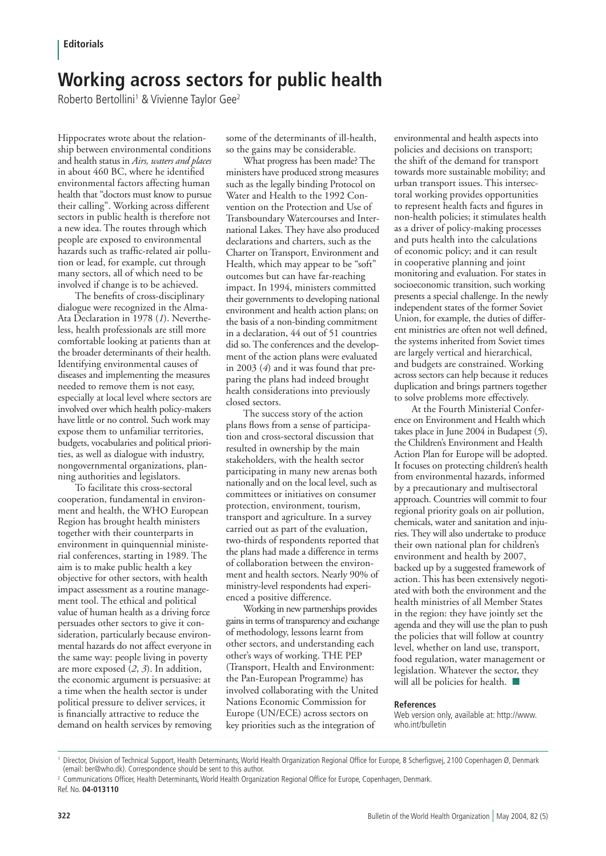## **Working across sectors for public health**

Roberto Bertollini<sup>1</sup> & Vivienne Taylor Gee<sup>2</sup>

Hippocrates wrote about the relationship between environmental conditions and health status in *Airs, waters and places* in about 460 BC, where he identified environmental factors affecting human health that "doctors must know to pursue their calling". Working across different sectors in public health is therefore not a new idea. The routes through which people are exposed to environmental hazards such as traffic-related air pollution or lead, for example, cut through many sectors, all of which need to be involved if change is to be achieved.

The benefits of cross-disciplinary dialogue were recognized in the Alma-Ata Declaration in 1978 (*1*). Nevertheless, health professionals are still more comfortable looking at patients than at the broader determinants of their health. Identifying environmental causes of diseases and implementing the measures needed to remove them is not easy, especially at local level where sectors are involved over which health policy-makers have little or no control. Such work may expose them to unfamiliar territories, budgets, vocabularies and political priorities, as well as dialogue with industry, nongovernmental organizations, planning authorities and legislators.

To facilitate this cross-sectoral cooperation, fundamental in environment and health, the WHO European Region has brought health ministers together with their counterparts in environment in quinquennial ministerial conferences, starting in 1989. The aim is to make public health a key objective for other sectors, with health impact assessment as a routine management tool. The ethical and political value of human health as a driving force persuades other sectors to give it consideration, particularly because environmental hazards do not affect everyone in the same way: people living in poverty are more exposed (*2*, *3*). In addition, the economic argument is persuasive: at a time when the health sector is under political pressure to deliver services, it is financially attractive to reduce the demand on health services by removing

some of the determinants of ill-health, so the gains may be considerable.

What progress has been made? The ministers have produced strong measures such as the legally binding Protocol on Water and Health to the 1992 Convention on the Protection and Use of Transboundary Watercourses and International Lakes. They have also produced declarations and charters, such as the Charter on Transport, Environment and Health, which may appear to be "soft" outcomes but can have far-reaching impact. In 1994, ministers committed their governments to developing national environment and health action plans; on the basis of a non-binding commitment in a declaration, 44 out of 51 countries did so. The conferences and the development of the action plans were evaluated in 2003 (*4*) and it was found that preparing the plans had indeed brought health considerations into previously closed sectors.

The success story of the action plans flows from a sense of participation and cross-sectoral discussion that resulted in ownership by the main stakeholders, with the health sector participating in many new arenas both nationally and on the local level, such as committees or initiatives on consumer protection, environment, tourism, transport and agriculture. In a survey carried out as part of the evaluation, two-thirds of respondents reported that the plans had made a difference in terms of collaboration between the environment and health sectors. Nearly 90% of ministry-level respondents had experienced a positive difference.

Working in new partnerships provides gains in terms of transparency and exchange of methodology, lessons learnt from other sectors, and understanding each other's ways of working. THE PEP (Transport, Health and Environment: the Pan-European Programme) has involved collaborating with the United Nations Economic Commission for Europe (UN/ECE) across sectors on key priorities such as the integration of

environmental and health aspects into policies and decisions on transport; the shift of the demand for transport towards more sustainable mobility; and urban transport issues. This intersectoral working provides opportunities to represent health facts and figures in non-health policies; it stimulates health as a driver of policy-making processes and puts health into the calculations of economic policy; and it can result in cooperative planning and joint monitoring and evaluation. For states in socioeconomic transition, such working presents a special challenge. In the newly independent states of the former Soviet Union, for example, the duties of different ministries are often not well defined, the systems inherited from Soviet times are largely vertical and hierarchical, and budgets are constrained. Working across sectors can help because it reduces duplication and brings partners together to solve problems more effectively.

At the Fourth Ministerial Conference on Environment and Health which takes place in June 2004 in Budapest (*5*), the Children's Environment and Health Action Plan for Europe will be adopted. It focuses on protecting children's health from environmental hazards, informed by a precautionary and multisectoral approach. Countries will commit to four regional priority goals on air pollution, chemicals, water and sanitation and injuries. They will also undertake to produce their own national plan for children's environment and health by 2007, backed up by a suggested framework of action. This has been extensively negotiated with both the environment and the health ministries of all Member States in the region: they have jointly set the agenda and they will use the plan to push the policies that will follow at country level, whether on land use, transport, food regulation, water management or legislation. Whatever the sector, they will all be policies for health.  $\blacksquare$ 

## **References**

Web version only, available at: http://www. who.int/bulletin

<sup>1</sup> Director, Division of Technical Support, Health Determinants, World Health Organization Regional Office for Europe, 8 Scherfigsvej, 2100 Copenhagen Ø, Denmark (email: ber@who.dk). Correspondence should be sent to this author.

<sup>2</sup> Communications Officer, Health Determinants, World Health Organization Regional Office for Europe, Copenhagen, Denmark. Ref. No. **04-013110**